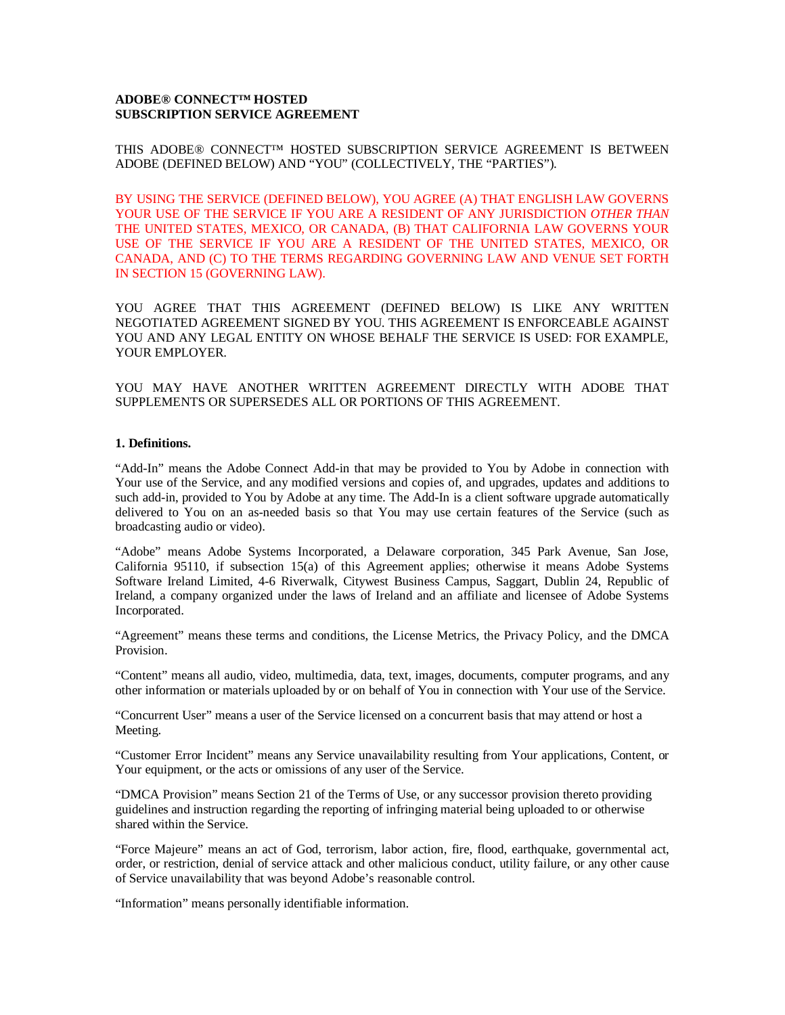# **ADOBE® CONNECT™ HOSTED SUBSCRIPTION SERVICE AGREEMENT**

THIS ADOBE® CONNECT™ HOSTED SUBSCRIPTION SERVICE AGREEMENT IS BETWEEN ADOBE (DEFINED BELOW) AND "YOU" (COLLECTIVELY, THE "PARTIES").

BY USING THE SERVICE (DEFINED BELOW), YOU AGREE (A) THAT ENGLISH LAW GOVERNS YOUR USE OF THE SERVICE IF YOU ARE A RESIDENT OF ANY JURISDICTION *OTHER THAN* THE UNITED STATES, MEXICO, OR CANADA, (B) THAT CALIFORNIA LAW GOVERNS YOUR USE OF THE SERVICE IF YOU ARE A RESIDENT OF THE UNITED STATES, MEXICO, OR CANADA, AND (C) TO THE TERMS REGARDING GOVERNING LAW AND VENUE SET FORTH IN SECTION 15 (GOVERNING LAW).

YOU AGREE THAT THIS AGREEMENT (DEFINED BELOW) IS LIKE ANY WRITTEN NEGOTIATED AGREEMENT SIGNED BY YOU. THIS AGREEMENT IS ENFORCEABLE AGAINST YOU AND ANY LEGAL ENTITY ON WHOSE BEHALF THE SERVICE IS USED: FOR EXAMPLE, YOUR EMPLOYER.

YOU MAY HAVE ANOTHER WRITTEN AGREEMENT DIRECTLY WITH ADOBE THAT SUPPLEMENTS OR SUPERSEDES ALL OR PORTIONS OF THIS AGREEMENT.

### **1. Definitions.**

"Add-In" means the Adobe Connect Add-in that may be provided to You by Adobe in connection with Your use of the Service, and any modified versions and copies of, and upgrades, updates and additions to such add-in, provided to You by Adobe at any time. The Add-In is a client software upgrade automatically delivered to You on an as-needed basis so that You may use certain features of the Service (such as broadcasting audio or video).

"Adobe" means Adobe Systems Incorporated, a Delaware corporation, 345 Park Avenue, San Jose, California 95110, if subsection 15(a) of this Agreement applies; otherwise it means Adobe Systems Software Ireland Limited, 4-6 Riverwalk, Citywest Business Campus, Saggart, Dublin 24, Republic of Ireland, a company organized under the laws of Ireland and an affiliate and licensee of Adobe Systems Incorporated.

"Agreement" means these terms and conditions, the License Metrics, the Privacy Policy, and the DMCA Provision.

"Content" means all audio, video, multimedia, data, text, images, documents, computer programs, and any other information or materials uploaded by or on behalf of You in connection with Your use of the Service.

"Concurrent User" means a user of the Service licensed on a concurrent basis that may attend or host a Meeting.

"Customer Error Incident" means any Service unavailability resulting from Your applications, Content, or Your equipment, or the acts or omissions of any user of the Service.

"DMCA Provision" means Section 21 of the Terms of Use, or any successor provision thereto providing guidelines and instruction regarding the reporting of infringing material being uploaded to or otherwise shared within the Service.

"Force Majeure" means an act of God, terrorism, labor action, fire, flood, earthquake, governmental act, order, or restriction, denial of service attack and other malicious conduct, utility failure, or any other cause of Service unavailability that was beyond Adobe's reasonable control.

"Information" means personally identifiable information.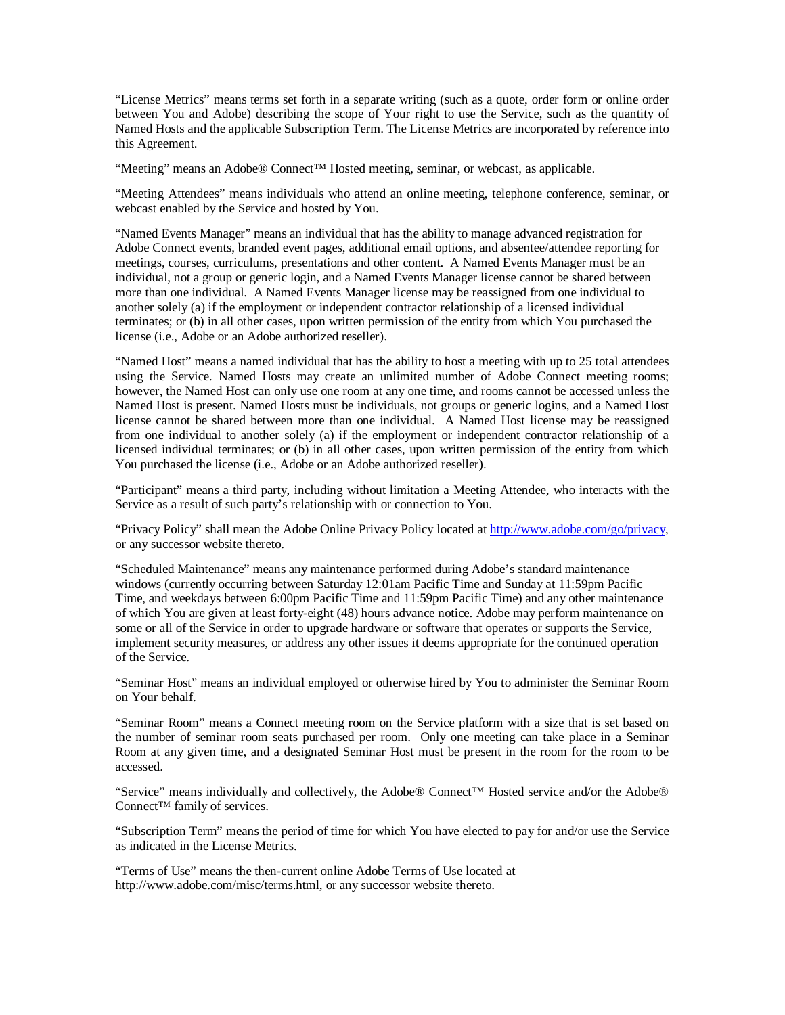"License Metrics" means terms set forth in a separate writing (such as a quote, order form or online order between You and Adobe) describing the scope of Your right to use the Service, such as the quantity of Named Hosts and the applicable Subscription Term. The License Metrics are incorporated by reference into this Agreement.

"Meeting" means an Adobe® Connect™ Hosted meeting, seminar, or webcast, as applicable.

"Meeting Attendees" means individuals who attend an online meeting, telephone conference, seminar, or webcast enabled by the Service and hosted by You.

"Named Events Manager" means an individual that has the ability to manage advanced registration for Adobe Connect events, branded event pages, additional email options, and absentee/attendee reporting for meetings, courses, curriculums, presentations and other content. A Named Events Manager must be an individual, not a group or generic login, and a Named Events Manager license cannot be shared between more than one individual. A Named Events Manager license may be reassigned from one individual to another solely (a) if the employment or independent contractor relationship of a licensed individual terminates; or (b) in all other cases, upon written permission of the entity from which You purchased the license (i.e., Adobe or an Adobe authorized reseller).

"Named Host" means a named individual that has the ability to host a meeting with up to 25 total attendees using the Service. Named Hosts may create an unlimited number of Adobe Connect meeting rooms; however, the Named Host can only use one room at any one time, and rooms cannot be accessed unless the Named Host is present. Named Hosts must be individuals, not groups or generic logins, and a Named Host license cannot be shared between more than one individual. A Named Host license may be reassigned from one individual to another solely (a) if the employment or independent contractor relationship of a licensed individual terminates; or (b) in all other cases, upon written permission of the entity from which You purchased the license (i.e., Adobe or an Adobe authorized reseller).

"Participant" means a third party, including without limitation a Meeting Attendee, who interacts with the Service as a result of such party's relationship with or connection to You.

"Privacy Policy" shall mean the Adobe Online Privacy Policy located at [http://www.adobe.com/go/privacy,](http://www.adobe.com/go/privacy) or any successor website thereto.

"Scheduled Maintenance" means any maintenance performed during Adobe's standard maintenance windows (currently occurring between Saturday 12:01am Pacific Time and Sunday at 11:59pm Pacific Time, and weekdays between 6:00pm Pacific Time and 11:59pm Pacific Time) and any other maintenance of which You are given at least forty-eight (48) hours advance notice. Adobe may perform maintenance on some or all of the Service in order to upgrade hardware or software that operates or supports the Service, implement security measures, or address any other issues it deems appropriate for the continued operation of the Service.

"Seminar Host" means an individual employed or otherwise hired by You to administer the Seminar Room on Your behalf.

"Seminar Room" means a Connect meeting room on the Service platform with a size that is set based on the number of seminar room seats purchased per room. Only one meeting can take place in a Seminar Room at any given time, and a designated Seminar Host must be present in the room for the room to be accessed.

"Service" means individually and collectively, the Adobe® Connect™ Hosted service and/or the Adobe® Connect™ family of services.

"Subscription Term" means the period of time for which You have elected to pay for and/or use the Service as indicated in the License Metrics.

"Terms of Use" means the then-current online Adobe Terms of Use located at [http://www.adobe.com/misc/terms.html,](http://www.adobe.com/misc/terms.html) or any successor website thereto.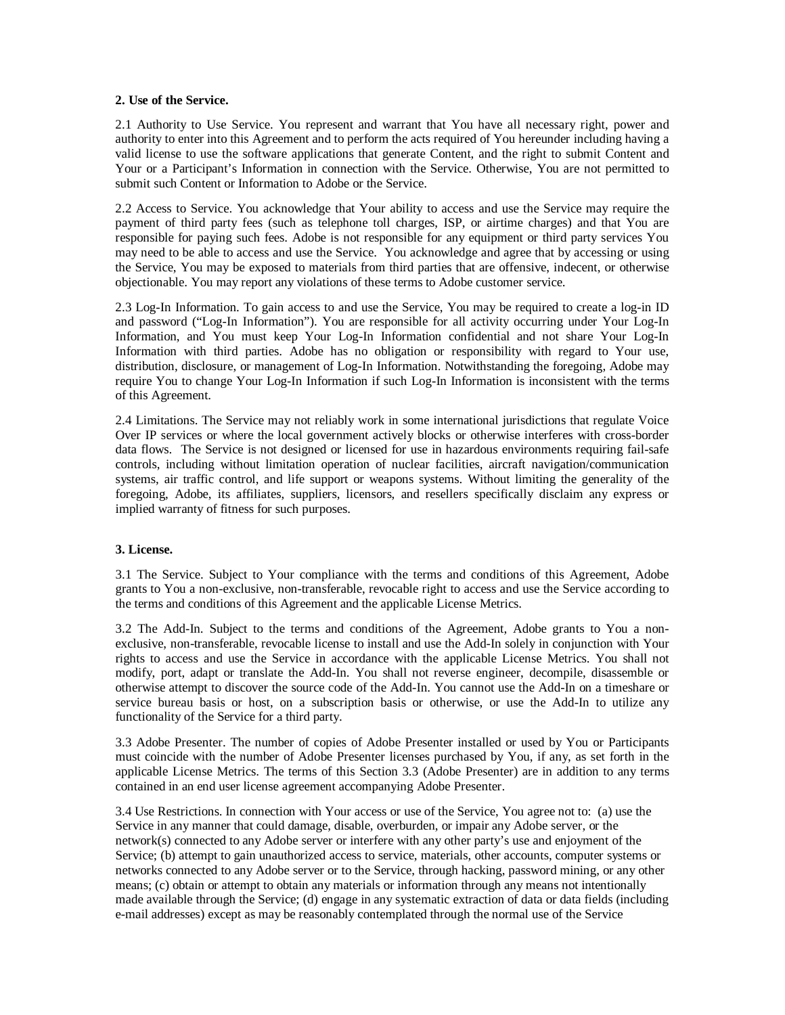### **2. Use of the Service.**

2.1 Authority to Use Service. You represent and warrant that You have all necessary right, power and authority to enter into this Agreement and to perform the acts required of You hereunder including having a valid license to use the software applications that generate Content, and the right to submit Content and Your or a Participant's Information in connection with the Service. Otherwise, You are not permitted to submit such Content or Information to Adobe or the Service.

2.2 Access to Service. You acknowledge that Your ability to access and use the Service may require the payment of third party fees (such as telephone toll charges, ISP, or airtime charges) and that You are responsible for paying such fees. Adobe is not responsible for any equipment or third party services You may need to be able to access and use the Service. You acknowledge and agree that by accessing or using the Service, You may be exposed to materials from third parties that are offensive, indecent, or otherwise objectionable. You may report any violations of these terms to Adobe customer service.

2.3 Log-In Information. To gain access to and use the Service, You may be required to create a log-in ID and password ("Log-In Information"). You are responsible for all activity occurring under Your Log-In Information, and You must keep Your Log-In Information confidential and not share Your Log-In Information with third parties. Adobe has no obligation or responsibility with regard to Your use, distribution, disclosure, or management of Log-In Information. Notwithstanding the foregoing, Adobe may require You to change Your Log-In Information if such Log-In Information is inconsistent with the terms of this Agreement.

2.4 Limitations. The Service may not reliably work in some international jurisdictions that regulate Voice Over IP services or where the local government actively blocks or otherwise interferes with cross-border data flows. The Service is not designed or licensed for use in hazardous environments requiring fail-safe controls, including without limitation operation of nuclear facilities, aircraft navigation/communication systems, air traffic control, and life support or weapons systems. Without limiting the generality of the foregoing, Adobe, its affiliates, suppliers, licensors, and resellers specifically disclaim any express or implied warranty of fitness for such purposes.

### **3. License.**

3.1 The Service. Subject to Your compliance with the terms and conditions of this Agreement, Adobe grants to You a non-exclusive, non-transferable, revocable right to access and use the Service according to the terms and conditions of this Agreement and the applicable License Metrics.

3.2 The Add-In. Subject to the terms and conditions of the Agreement, Adobe grants to You a nonexclusive, non-transferable, revocable license to install and use the Add-In solely in conjunction with Your rights to access and use the Service in accordance with the applicable License Metrics. You shall not modify, port, adapt or translate the Add-In. You shall not reverse engineer, decompile, disassemble or otherwise attempt to discover the source code of the Add-In. You cannot use the Add-In on a timeshare or service bureau basis or host, on a subscription basis or otherwise, or use the Add-In to utilize any functionality of the Service for a third party.

3.3 Adobe Presenter. The number of copies of Adobe Presenter installed or used by You or Participants must coincide with the number of Adobe Presenter licenses purchased by You, if any, as set forth in the applicable License Metrics. The terms of this Section 3.3 (Adobe Presenter) are in addition to any terms contained in an end user license agreement accompanying Adobe Presenter.

3.4 Use Restrictions. In connection with Your access or use of the Service, You agree not to: (a) use the Service in any manner that could damage, disable, overburden, or impair any Adobe server, or the network(s) connected to any Adobe server or interfere with any other party's use and enjoyment of the Service; (b) attempt to gain unauthorized access to service, materials, other accounts, computer systems or networks connected to any Adobe server or to the Service, through hacking, password mining, or any other means; (c) obtain or attempt to obtain any materials or information through any means not intentionally made available through the Service; (d) engage in any systematic extraction of data or data fields (including e-mail addresses) except as may be reasonably contemplated through the normal use of the Service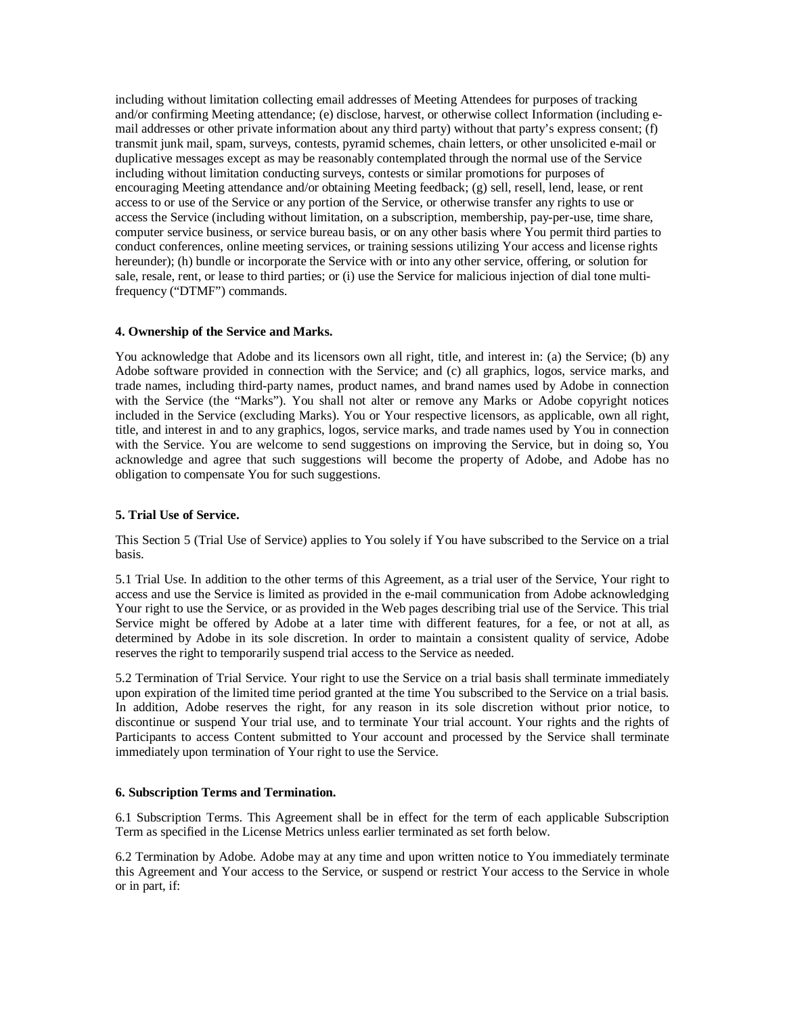including without limitation collecting email addresses of Meeting Attendees for purposes of tracking and/or confirming Meeting attendance; (e) disclose, harvest, or otherwise collect Information (including email addresses or other private information about any third party) without that party's express consent; (f) transmit junk mail, spam, surveys, contests, pyramid schemes, chain letters, or other unsolicited e-mail or duplicative messages except as may be reasonably contemplated through the normal use of the Service including without limitation conducting surveys, contests or similar promotions for purposes of encouraging Meeting attendance and/or obtaining Meeting feedback; (g) sell, resell, lend, lease, or rent access to or use of the Service or any portion of the Service, or otherwise transfer any rights to use or access the Service (including without limitation, on a subscription, membership, pay-per-use, time share, computer service business, or service bureau basis, or on any other basis where You permit third parties to conduct conferences, online meeting services, or training sessions utilizing Your access and license rights hereunder); (h) bundle or incorporate the Service with or into any other service, offering, or solution for sale, resale, rent, or lease to third parties; or (i) use the Service for malicious injection of dial tone multifrequency ("DTMF") commands.

## **4. Ownership of the Service and Marks.**

You acknowledge that Adobe and its licensors own all right, title, and interest in: (a) the Service; (b) any Adobe software provided in connection with the Service; and (c) all graphics, logos, service marks, and trade names, including third-party names, product names, and brand names used by Adobe in connection with the Service (the "Marks"). You shall not alter or remove any Marks or Adobe copyright notices included in the Service (excluding Marks). You or Your respective licensors, as applicable, own all right, title, and interest in and to any graphics, logos, service marks, and trade names used by You in connection with the Service. You are welcome to send suggestions on improving the Service, but in doing so, You acknowledge and agree that such suggestions will become the property of Adobe, and Adobe has no obligation to compensate You for such suggestions.

# **5. Trial Use of Service.**

This Section 5 (Trial Use of Service) applies to You solely if You have subscribed to the Service on a trial basis.

5.1 Trial Use. In addition to the other terms of this Agreement, as a trial user of the Service, Your right to access and use the Service is limited as provided in the e-mail communication from Adobe acknowledging Your right to use the Service, or as provided in the Web pages describing trial use of the Service. This trial Service might be offered by Adobe at a later time with different features, for a fee, or not at all, as determined by Adobe in its sole discretion. In order to maintain a consistent quality of service, Adobe reserves the right to temporarily suspend trial access to the Service as needed.

5.2 Termination of Trial Service. Your right to use the Service on a trial basis shall terminate immediately upon expiration of the limited time period granted at the time You subscribed to the Service on a trial basis. In addition, Adobe reserves the right, for any reason in its sole discretion without prior notice, to discontinue or suspend Your trial use, and to terminate Your trial account. Your rights and the rights of Participants to access Content submitted to Your account and processed by the Service shall terminate immediately upon termination of Your right to use the Service.

### **6. Subscription Terms and Termination.**

6.1 Subscription Terms. This Agreement shall be in effect for the term of each applicable Subscription Term as specified in the License Metrics unless earlier terminated as set forth below.

6.2 Termination by Adobe. Adobe may at any time and upon written notice to You immediately terminate this Agreement and Your access to the Service, or suspend or restrict Your access to the Service in whole or in part, if: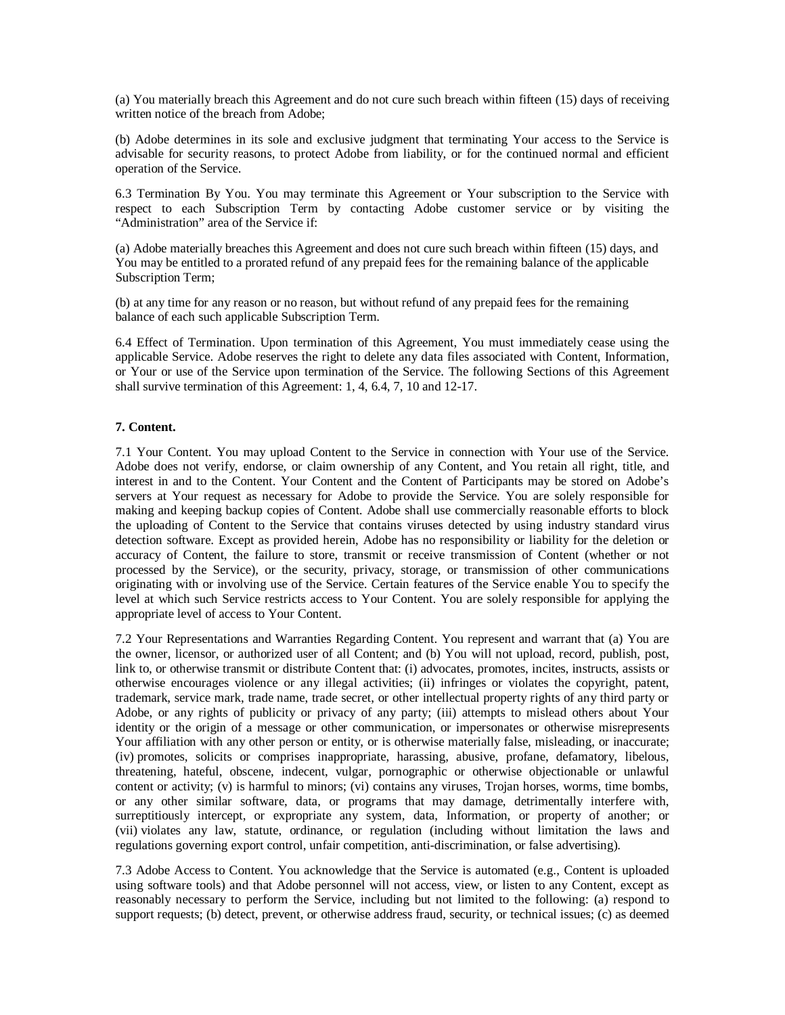(a) You materially breach this Agreement and do not cure such breach within fifteen (15) days of receiving written notice of the breach from Adobe;

(b) Adobe determines in its sole and exclusive judgment that terminating Your access to the Service is advisable for security reasons, to protect Adobe from liability, or for the continued normal and efficient operation of the Service.

6.3 Termination By You. You may terminate this Agreement or Your subscription to the Service with respect to each Subscription Term by contacting Adobe customer service or by visiting the "Administration" area of the Service if:

(a) Adobe materially breaches this Agreement and does not cure such breach within fifteen (15) days, and You may be entitled to a prorated refund of any prepaid fees for the remaining balance of the applicable Subscription Term;

(b) at any time for any reason or no reason, but without refund of any prepaid fees for the remaining balance of each such applicable Subscription Term.

6.4 Effect of Termination. Upon termination of this Agreement, You must immediately cease using the applicable Service. Adobe reserves the right to delete any data files associated with Content, Information, or Your or use of the Service upon termination of the Service. The following Sections of this Agreement shall survive termination of this Agreement: 1, 4, 6.4, 7, 10 and 12-17.

## **7. Content.**

7.1 Your Content. You may upload Content to the Service in connection with Your use of the Service. Adobe does not verify, endorse, or claim ownership of any Content, and You retain all right, title, and interest in and to the Content. Your Content and the Content of Participants may be stored on Adobe's servers at Your request as necessary for Adobe to provide the Service. You are solely responsible for making and keeping backup copies of Content. Adobe shall use commercially reasonable efforts to block the uploading of Content to the Service that contains viruses detected by using industry standard virus detection software. Except as provided herein, Adobe has no responsibility or liability for the deletion or accuracy of Content, the failure to store, transmit or receive transmission of Content (whether or not processed by the Service), or the security, privacy, storage, or transmission of other communications originating with or involving use of the Service. Certain features of the Service enable You to specify the level at which such Service restricts access to Your Content. You are solely responsible for applying the appropriate level of access to Your Content.

7.2 Your Representations and Warranties Regarding Content. You represent and warrant that (a) You are the owner, licensor, or authorized user of all Content; and (b) You will not upload, record, publish, post, link to, or otherwise transmit or distribute Content that: (i) advocates, promotes, incites, instructs, assists or otherwise encourages violence or any illegal activities; (ii) infringes or violates the copyright, patent, trademark, service mark, trade name, trade secret, or other intellectual property rights of any third party or Adobe, or any rights of publicity or privacy of any party; (iii) attempts to mislead others about Your identity or the origin of a message or other communication, or impersonates or otherwise misrepresents Your affiliation with any other person or entity, or is otherwise materially false, misleading, or inaccurate; (iv) promotes, solicits or comprises inappropriate, harassing, abusive, profane, defamatory, libelous, threatening, hateful, obscene, indecent, vulgar, pornographic or otherwise objectionable or unlawful content or activity; (v) is harmful to minors; (vi) contains any viruses, Trojan horses, worms, time bombs, or any other similar software, data, or programs that may damage, detrimentally interfere with, surreptitiously intercept, or expropriate any system, data, Information, or property of another; or (vii) violates any law, statute, ordinance, or regulation (including without limitation the laws and regulations governing export control, unfair competition, anti-discrimination, or false advertising).

7.3 Adobe Access to Content. You acknowledge that the Service is automated (e.g., Content is uploaded using software tools) and that Adobe personnel will not access, view, or listen to any Content, except as reasonably necessary to perform the Service, including but not limited to the following: (a) respond to support requests; (b) detect, prevent, or otherwise address fraud, security, or technical issues; (c) as deemed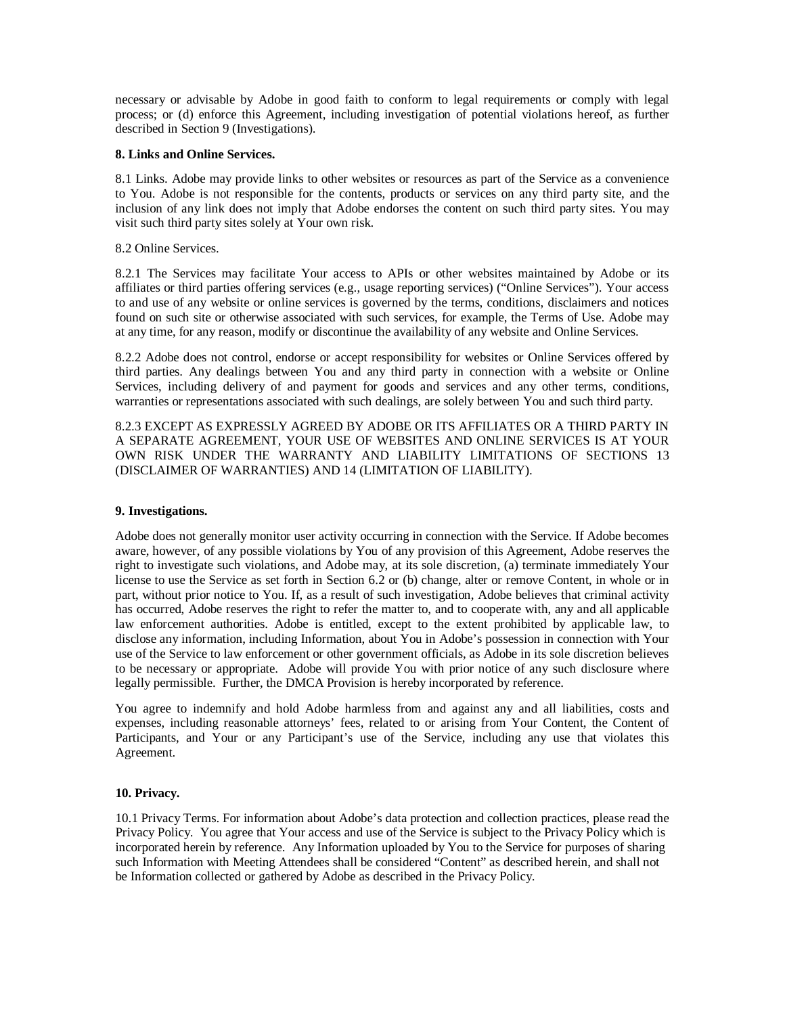necessary or advisable by Adobe in good faith to conform to legal requirements or comply with legal process; or (d) enforce this Agreement, including investigation of potential violations hereof, as further described in Section 9 (Investigations).

### **8. Links and Online Services.**

8.1 Links. Adobe may provide links to other websites or resources as part of the Service as a convenience to You. Adobe is not responsible for the contents, products or services on any third party site, and the inclusion of any link does not imply that Adobe endorses the content on such third party sites. You may visit such third party sites solely at Your own risk.

### 8.2 Online Services.

8.2.1 The Services may facilitate Your access to APIs or other websites maintained by Adobe or its affiliates or third parties offering services (e.g., usage reporting services) ("Online Services"). Your access to and use of any website or online services is governed by the terms, conditions, disclaimers and notices found on such site or otherwise associated with such services, for example, the Terms of Use. Adobe may at any time, for any reason, modify or discontinue the availability of any website and Online Services.

8.2.2 Adobe does not control, endorse or accept responsibility for websites or Online Services offered by third parties. Any dealings between You and any third party in connection with a website or Online Services, including delivery of and payment for goods and services and any other terms, conditions, warranties or representations associated with such dealings, are solely between You and such third party.

8.2.3 EXCEPT AS EXPRESSLY AGREED BY ADOBE OR ITS AFFILIATES OR A THIRD PARTY IN A SEPARATE AGREEMENT, YOUR USE OF WEBSITES AND ONLINE SERVICES IS AT YOUR OWN RISK UNDER THE WARRANTY AND LIABILITY LIMITATIONS OF SECTIONS 13 (DISCLAIMER OF WARRANTIES) AND 14 (LIMITATION OF LIABILITY).

# **9. Investigations.**

Adobe does not generally monitor user activity occurring in connection with the Service. If Adobe becomes aware, however, of any possible violations by You of any provision of this Agreement, Adobe reserves the right to investigate such violations, and Adobe may, at its sole discretion, (a) terminate immediately Your license to use the Service as set forth in Section 6.2 or (b) change, alter or remove Content, in whole or in part, without prior notice to You. If, as a result of such investigation, Adobe believes that criminal activity has occurred, Adobe reserves the right to refer the matter to, and to cooperate with, any and all applicable law enforcement authorities. Adobe is entitled, except to the extent prohibited by applicable law, to disclose any information, including Information, about You in Adobe's possession in connection with Your use of the Service to law enforcement or other government officials, as Adobe in its sole discretion believes to be necessary or appropriate. Adobe will provide You with prior notice of any such disclosure where legally permissible. Further, the DMCA Provision is hereby incorporated by reference.

You agree to indemnify and hold Adobe harmless from and against any and all liabilities, costs and expenses, including reasonable attorneys' fees, related to or arising from Your Content, the Content of Participants, and Your or any Participant's use of the Service, including any use that violates this Agreement.

# **10. Privacy.**

10.1 Privacy Terms. For information about Adobe's data protection and collection practices, please read the Privacy Policy. You agree that Your access and use of the Service is subject to the Privacy Policy which is incorporated herein by reference. Any Information uploaded by You to the Service for purposes of sharing such Information with Meeting Attendees shall be considered "Content" as described herein, and shall not be Information collected or gathered by Adobe as described in the Privacy Policy.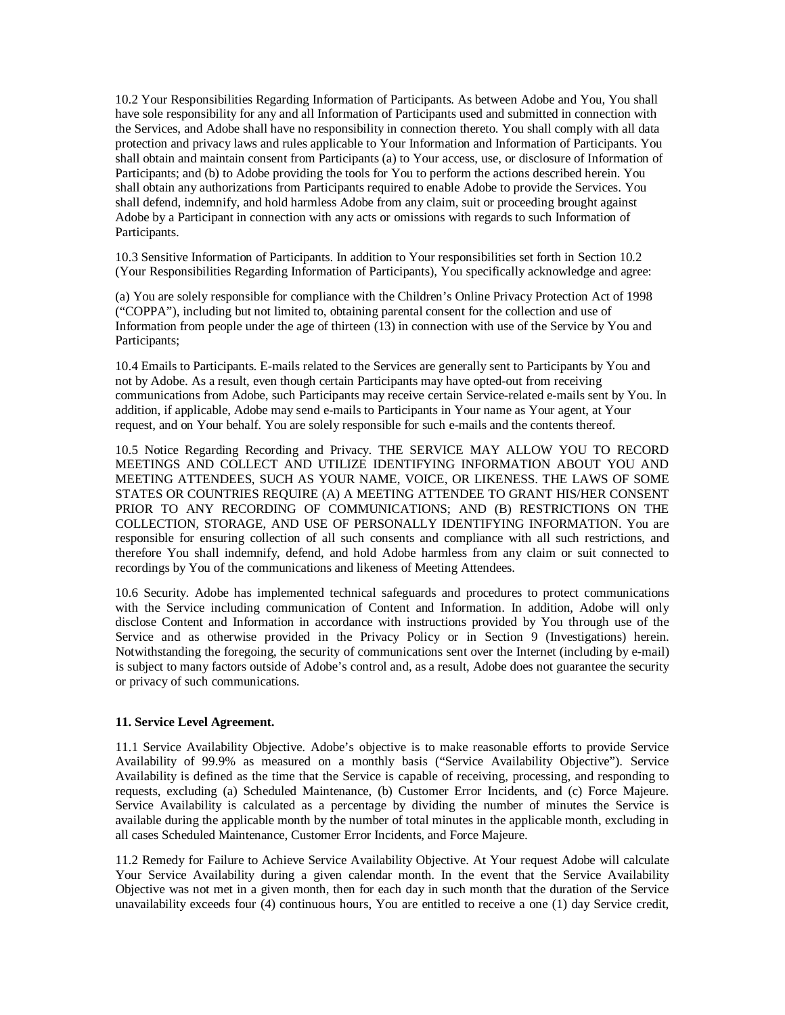10.2 Your Responsibilities Regarding Information of Participants. As between Adobe and You, You shall have sole responsibility for any and all Information of Participants used and submitted in connection with the Services, and Adobe shall have no responsibility in connection thereto. You shall comply with all data protection and privacy laws and rules applicable to Your Information and Information of Participants. You shall obtain and maintain consent from Participants (a) to Your access, use, or disclosure of Information of Participants; and (b) to Adobe providing the tools for You to perform the actions described herein. You shall obtain any authorizations from Participants required to enable Adobe to provide the Services. You shall defend, indemnify, and hold harmless Adobe from any claim, suit or proceeding brought against Adobe by a Participant in connection with any acts or omissions with regards to such Information of Participants.

10.3 Sensitive Information of Participants. In addition to Your responsibilities set forth in Section 10.2 (Your Responsibilities Regarding Information of Participants), You specifically acknowledge and agree:

(a) You are solely responsible for compliance with the Children's Online Privacy Protection Act of 1998 ("COPPA"), including but not limited to, obtaining parental consent for the collection and use of Information from people under the age of thirteen (13) in connection with use of the Service by You and Participants;

10.4 Emails to Participants. E-mails related to the Services are generally sent to Participants by You and not by Adobe. As a result, even though certain Participants may have opted-out from receiving communications from Adobe, such Participants may receive certain Service-related e-mails sent by You. In addition, if applicable, Adobe may send e-mails to Participants in Your name as Your agent, at Your request, and on Your behalf. You are solely responsible for such e-mails and the contents thereof.

10.5 Notice Regarding Recording and Privacy. THE SERVICE MAY ALLOW YOU TO RECORD MEETINGS AND COLLECT AND UTILIZE IDENTIFYING INFORMATION ABOUT YOU AND MEETING ATTENDEES, SUCH AS YOUR NAME, VOICE, OR LIKENESS. THE LAWS OF SOME STATES OR COUNTRIES REQUIRE (A) A MEETING ATTENDEE TO GRANT HIS/HER CONSENT PRIOR TO ANY RECORDING OF COMMUNICATIONS; AND (B) RESTRICTIONS ON THE COLLECTION, STORAGE, AND USE OF PERSONALLY IDENTIFYING INFORMATION. You are responsible for ensuring collection of all such consents and compliance with all such restrictions, and therefore You shall indemnify, defend, and hold Adobe harmless from any claim or suit connected to recordings by You of the communications and likeness of Meeting Attendees.

10.6 Security. Adobe has implemented technical safeguards and procedures to protect communications with the Service including communication of Content and Information. In addition, Adobe will only disclose Content and Information in accordance with instructions provided by You through use of the Service and as otherwise provided in the Privacy Policy or in Section 9 (Investigations) herein. Notwithstanding the foregoing, the security of communications sent over the Internet (including by e-mail) is subject to many factors outside of Adobe's control and, as a result, Adobe does not guarantee the security or privacy of such communications.

### **11. Service Level Agreement.**

11.1 Service Availability Objective. Adobe's objective is to make reasonable efforts to provide Service Availability of 99.9% as measured on a monthly basis ("Service Availability Objective"). Service Availability is defined as the time that the Service is capable of receiving, processing, and responding to requests, excluding (a) Scheduled Maintenance, (b) Customer Error Incidents, and (c) Force Majeure. Service Availability is calculated as a percentage by dividing the number of minutes the Service is available during the applicable month by the number of total minutes in the applicable month, excluding in all cases Scheduled Maintenance, Customer Error Incidents, and Force Majeure.

11.2 Remedy for Failure to Achieve Service Availability Objective. At Your request Adobe will calculate Your Service Availability during a given calendar month. In the event that the Service Availability Objective was not met in a given month, then for each day in such month that the duration of the Service unavailability exceeds four (4) continuous hours, You are entitled to receive a one (1) day Service credit,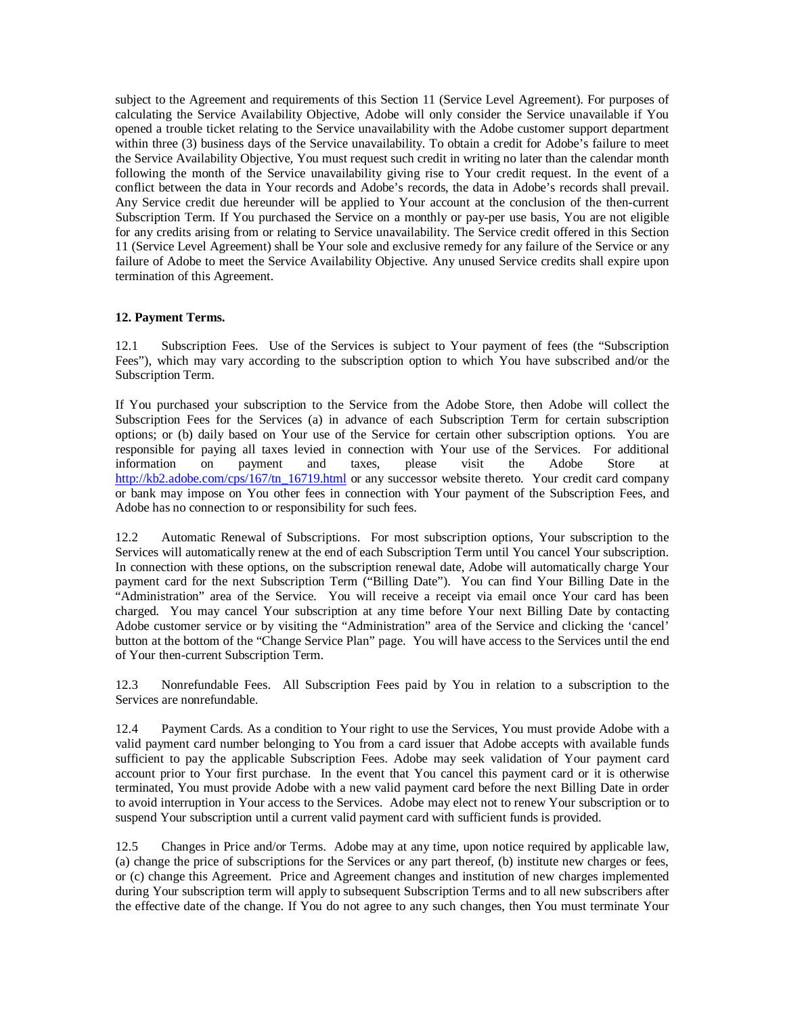subject to the Agreement and requirements of this Section 11 (Service Level Agreement). For purposes of calculating the Service Availability Objective, Adobe will only consider the Service unavailable if You opened a trouble ticket relating to the Service unavailability with the Adobe customer support department within three (3) business days of the Service unavailability. To obtain a credit for Adobe's failure to meet the Service Availability Objective, You must request such credit in writing no later than the calendar month following the month of the Service unavailability giving rise to Your credit request. In the event of a conflict between the data in Your records and Adobe's records, the data in Adobe's records shall prevail. Any Service credit due hereunder will be applied to Your account at the conclusion of the then-current Subscription Term. If You purchased the Service on a monthly or pay-per use basis, You are not eligible for any credits arising from or relating to Service unavailability. The Service credit offered in this Section 11 (Service Level Agreement) shall be Your sole and exclusive remedy for any failure of the Service or any failure of Adobe to meet the Service Availability Objective. Any unused Service credits shall expire upon termination of this Agreement.

# **12. Payment Terms.**

12.1 Subscription Fees. Use of the Services is subject to Your payment of fees (the "Subscription Fees"), which may vary according to the subscription option to which You have subscribed and/or the Subscription Term.

If You purchased your subscription to the Service from the Adobe Store, then Adobe will collect the Subscription Fees for the Services (a) in advance of each Subscription Term for certain subscription options; or (b) daily based on Your use of the Service for certain other subscription options. You are responsible for paying all taxes levied in connection with Your use of the Services. For additional information on payment and taxes, please visit the Adobe Store at [http://kb2.adobe.com/cps/167/tn\\_16719.html](http://kb2.adobe.com/cps/167/tn_16719.html) or any successor website thereto. Your credit card company or bank may impose on You other fees in connection with Your payment of the Subscription Fees, and Adobe has no connection to or responsibility for such fees.

12.2 Automatic Renewal of Subscriptions. For most subscription options, Your subscription to the Services will automatically renew at the end of each Subscription Term until You cancel Your subscription. In connection with these options, on the subscription renewal date, Adobe will automatically charge Your payment card for the next Subscription Term ("Billing Date"). You can find Your Billing Date in the "Administration" area of the Service. You will receive a receipt via email once Your card has been charged. You may cancel Your subscription at any time before Your next Billing Date by contacting Adobe customer service or by visiting the "Administration" area of the Service and clicking the 'cancel' button at the bottom of the "Change Service Plan" page. You will have access to the Services until the end of Your then-current Subscription Term.

12.3 Nonrefundable Fees. All Subscription Fees paid by You in relation to a subscription to the Services are nonrefundable.

12.4 Payment Cards. As a condition to Your right to use the Services, You must provide Adobe with a valid payment card number belonging to You from a card issuer that Adobe accepts with available funds sufficient to pay the applicable Subscription Fees. Adobe may seek validation of Your payment card account prior to Your first purchase. In the event that You cancel this payment card or it is otherwise terminated, You must provide Adobe with a new valid payment card before the next Billing Date in order to avoid interruption in Your access to the Services. Adobe may elect not to renew Your subscription or to suspend Your subscription until a current valid payment card with sufficient funds is provided.

12.5 Changes in Price and/or Terms. Adobe may at any time, upon notice required by applicable law, (a) change the price of subscriptions for the Services or any part thereof, (b) institute new charges or fees, or (c) change this Agreement. Price and Agreement changes and institution of new charges implemented during Your subscription term will apply to subsequent Subscription Terms and to all new subscribers after the effective date of the change. If You do not agree to any such changes, then You must terminate Your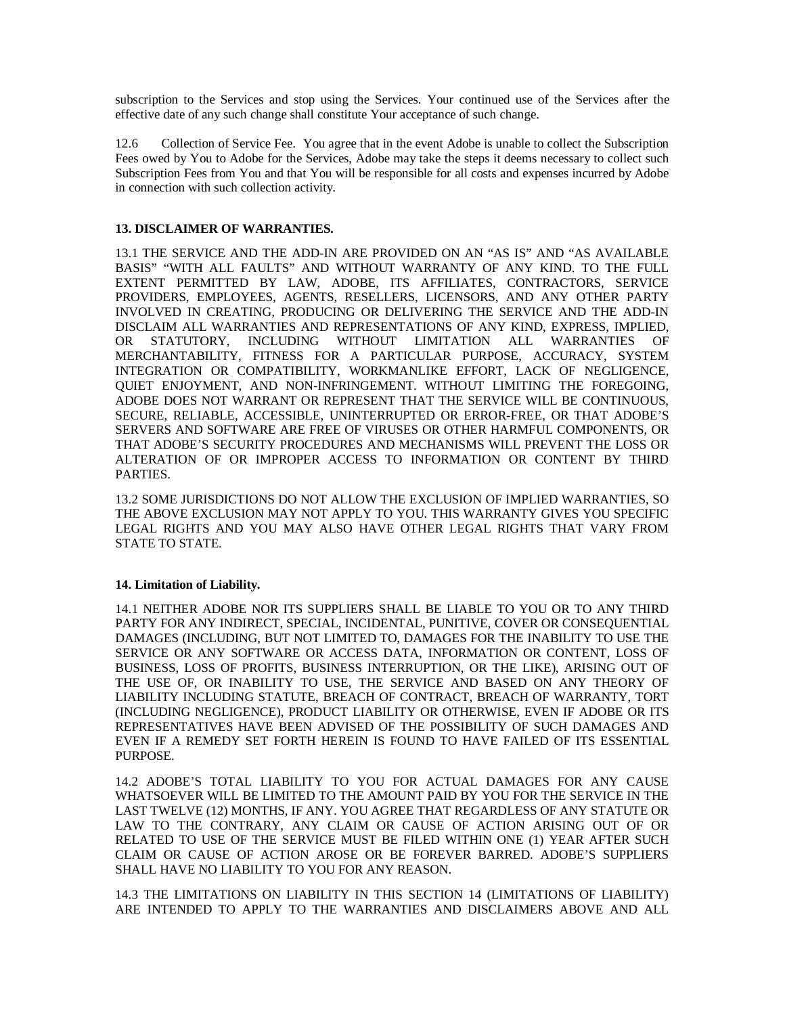subscription to the Services and stop using the Services. Your continued use of the Services after the effective date of any such change shall constitute Your acceptance of such change.

12.6 Collection of Service Fee. You agree that in the event Adobe is unable to collect the Subscription Fees owed by You to Adobe for the Services, Adobe may take the steps it deems necessary to collect such Subscription Fees from You and that You will be responsible for all costs and expenses incurred by Adobe in connection with such collection activity.

## **13. DISCLAIMER OF WARRANTIES.**

13.1 THE SERVICE AND THE ADD-IN ARE PROVIDED ON AN "AS IS" AND "AS AVAILABLE BASIS" "WITH ALL FAULTS" AND WITHOUT WARRANTY OF ANY KIND. TO THE FULL EXTENT PERMITTED BY LAW, ADOBE, ITS AFFILIATES, CONTRACTORS, SERVICE PROVIDERS, EMPLOYEES, AGENTS, RESELLERS, LICENSORS, AND ANY OTHER PARTY INVOLVED IN CREATING, PRODUCING OR DELIVERING THE SERVICE AND THE ADD-IN DISCLAIM ALL WARRANTIES AND REPRESENTATIONS OF ANY KIND, EXPRESS, IMPLIED, OR STATUTORY, INCLUDING WITHOUT LIMITATION ALL WARRANTIES OF MERCHANTABILITY, FITNESS FOR A PARTICULAR PURPOSE, ACCURACY, SYSTEM INTEGRATION OR COMPATIBILITY, WORKMANLIKE EFFORT, LACK OF NEGLIGENCE, QUIET ENJOYMENT, AND NON-INFRINGEMENT. WITHOUT LIMITING THE FOREGOING, ADOBE DOES NOT WARRANT OR REPRESENT THAT THE SERVICE WILL BE CONTINUOUS, SECURE, RELIABLE, ACCESSIBLE, UNINTERRUPTED OR ERROR-FREE, OR THAT ADOBE'S SERVERS AND SOFTWARE ARE FREE OF VIRUSES OR OTHER HARMFUL COMPONENTS, OR THAT ADOBE'S SECURITY PROCEDURES AND MECHANISMS WILL PREVENT THE LOSS OR ALTERATION OF OR IMPROPER ACCESS TO INFORMATION OR CONTENT BY THIRD PARTIES.

13.2 SOME JURISDICTIONS DO NOT ALLOW THE EXCLUSION OF IMPLIED WARRANTIES, SO THE ABOVE EXCLUSION MAY NOT APPLY TO YOU. THIS WARRANTY GIVES YOU SPECIFIC LEGAL RIGHTS AND YOU MAY ALSO HAVE OTHER LEGAL RIGHTS THAT VARY FROM STATE TO STATE.

### **14. Limitation of Liability.**

14.1 NEITHER ADOBE NOR ITS SUPPLIERS SHALL BE LIABLE TO YOU OR TO ANY THIRD PARTY FOR ANY INDIRECT, SPECIAL, INCIDENTAL, PUNITIVE, COVER OR CONSEQUENTIAL DAMAGES (INCLUDING, BUT NOT LIMITED TO, DAMAGES FOR THE INABILITY TO USE THE SERVICE OR ANY SOFTWARE OR ACCESS DATA, INFORMATION OR CONTENT, LOSS OF BUSINESS, LOSS OF PROFITS, BUSINESS INTERRUPTION, OR THE LIKE), ARISING OUT OF THE USE OF, OR INABILITY TO USE, THE SERVICE AND BASED ON ANY THEORY OF LIABILITY INCLUDING STATUTE, BREACH OF CONTRACT, BREACH OF WARRANTY, TORT (INCLUDING NEGLIGENCE), PRODUCT LIABILITY OR OTHERWISE, EVEN IF ADOBE OR ITS REPRESENTATIVES HAVE BEEN ADVISED OF THE POSSIBILITY OF SUCH DAMAGES AND EVEN IF A REMEDY SET FORTH HEREIN IS FOUND TO HAVE FAILED OF ITS ESSENTIAL PURPOSE.

14.2 ADOBE'S TOTAL LIABILITY TO YOU FOR ACTUAL DAMAGES FOR ANY CAUSE WHATSOEVER WILL BE LIMITED TO THE AMOUNT PAID BY YOU FOR THE SERVICE IN THE LAST TWELVE (12) MONTHS, IF ANY. YOU AGREE THAT REGARDLESS OF ANY STATUTE OR LAW TO THE CONTRARY, ANY CLAIM OR CAUSE OF ACTION ARISING OUT OF OR RELATED TO USE OF THE SERVICE MUST BE FILED WITHIN ONE (1) YEAR AFTER SUCH CLAIM OR CAUSE OF ACTION AROSE OR BE FOREVER BARRED. ADOBE'S SUPPLIERS SHALL HAVE NO LIABILITY TO YOU FOR ANY REASON.

14.3 THE LIMITATIONS ON LIABILITY IN THIS SECTION 14 (LIMITATIONS OF LIABILITY) ARE INTENDED TO APPLY TO THE WARRANTIES AND DISCLAIMERS ABOVE AND ALL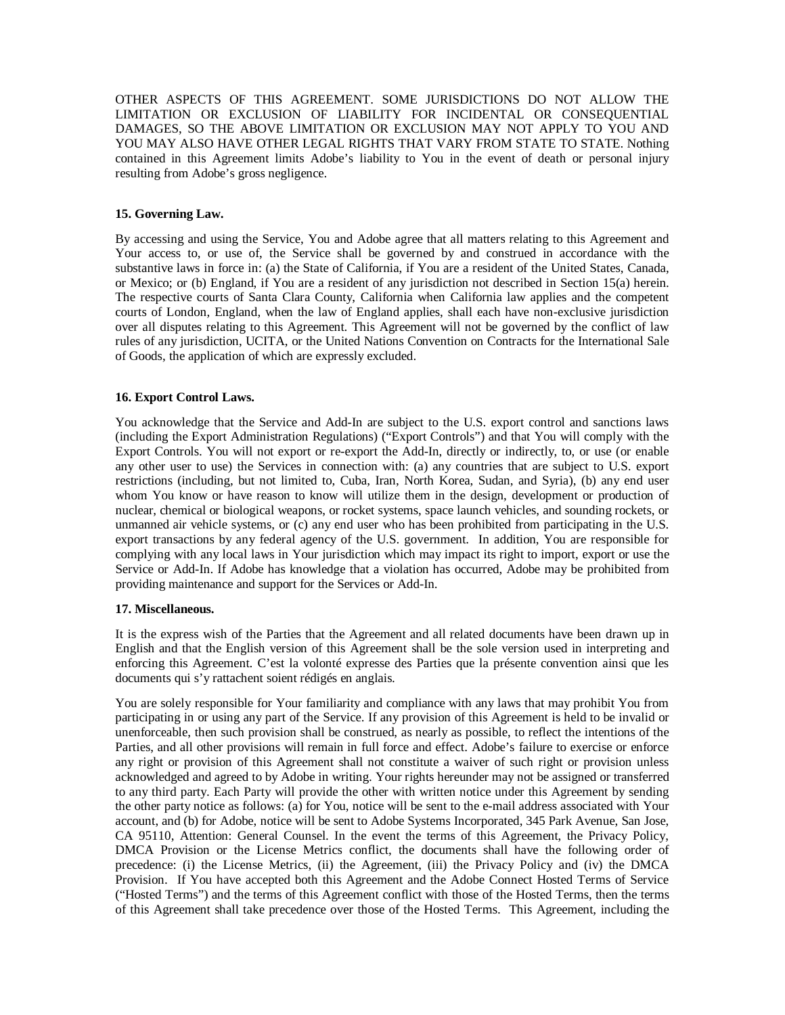OTHER ASPECTS OF THIS AGREEMENT. SOME JURISDICTIONS DO NOT ALLOW THE LIMITATION OR EXCLUSION OF LIABILITY FOR INCIDENTAL OR CONSEQUENTIAL DAMAGES, SO THE ABOVE LIMITATION OR EXCLUSION MAY NOT APPLY TO YOU AND YOU MAY ALSO HAVE OTHER LEGAL RIGHTS THAT VARY FROM STATE TO STATE. Nothing contained in this Agreement limits Adobe's liability to You in the event of death or personal injury resulting from Adobe's gross negligence.

# **15. Governing Law.**

By accessing and using the Service, You and Adobe agree that all matters relating to this Agreement and Your access to, or use of, the Service shall be governed by and construed in accordance with the substantive laws in force in: (a) the State of California, if You are a resident of the United States, Canada, or Mexico; or (b) England, if You are a resident of any jurisdiction not described in Section 15(a) herein. The respective courts of Santa Clara County, California when California law applies and the competent courts of London, England, when the law of England applies, shall each have non-exclusive jurisdiction over all disputes relating to this Agreement. This Agreement will not be governed by the conflict of law rules of any jurisdiction, UCITA, or the United Nations Convention on Contracts for the International Sale of Goods, the application of which are expressly excluded.

## **16. Export Control Laws.**

You acknowledge that the Service and Add-In are subject to the U.S. export control and sanctions laws (including the Export Administration Regulations) ("Export Controls") and that You will comply with the Export Controls. You will not export or re-export the Add-In, directly or indirectly, to, or use (or enable any other user to use) the Services in connection with: (a) any countries that are subject to U.S. export restrictions (including, but not limited to, Cuba, Iran, North Korea, Sudan, and Syria), (b) any end user whom You know or have reason to know will utilize them in the design, development or production of nuclear, chemical or biological weapons, or rocket systems, space launch vehicles, and sounding rockets, or unmanned air vehicle systems, or (c) any end user who has been prohibited from participating in the U.S. export transactions by any federal agency of the U.S. government. In addition, You are responsible for complying with any local laws in Your jurisdiction which may impact its right to import, export or use the Service or Add-In. If Adobe has knowledge that a violation has occurred, Adobe may be prohibited from providing maintenance and support for the Services or Add-In.

### **17. Miscellaneous.**

It is the express wish of the Parties that the Agreement and all related documents have been drawn up in English and that the English version of this Agreement shall be the sole version used in interpreting and enforcing this Agreement. C'est la volonté expresse des Parties que la présente convention ainsi que les documents qui s'y rattachent soient rédigés en anglais.

You are solely responsible for Your familiarity and compliance with any laws that may prohibit You from participating in or using any part of the Service. If any provision of this Agreement is held to be invalid or unenforceable, then such provision shall be construed, as nearly as possible, to reflect the intentions of the Parties, and all other provisions will remain in full force and effect. Adobe's failure to exercise or enforce any right or provision of this Agreement shall not constitute a waiver of such right or provision unless acknowledged and agreed to by Adobe in writing. Your rights hereunder may not be assigned or transferred to any third party. Each Party will provide the other with written notice under this Agreement by sending the other party notice as follows: (a) for You, notice will be sent to the e-mail address associated with Your account, and (b) for Adobe, notice will be sent to Adobe Systems Incorporated, 345 Park Avenue, San Jose, CA 95110, Attention: General Counsel. In the event the terms of this Agreement, the Privacy Policy, DMCA Provision or the License Metrics conflict, the documents shall have the following order of precedence: (i) the License Metrics, (ii) the Agreement, (iii) the Privacy Policy and (iv) the DMCA Provision. If You have accepted both this Agreement and the Adobe Connect Hosted Terms of Service ("Hosted Terms") and the terms of this Agreement conflict with those of the Hosted Terms, then the terms of this Agreement shall take precedence over those of the Hosted Terms. This Agreement, including the